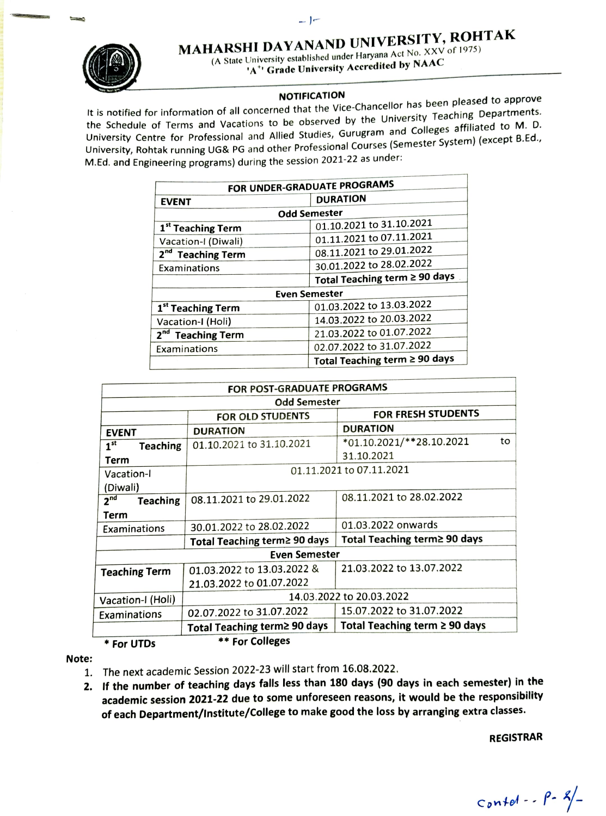## MAHARSHI DAYANAND UNIVERSITY, ROHTAK



(A State University established under Haryana Act No. XXV of 1975) 'A"' Grade University Accredited by NAAC

**NOTIFICATION**<br>It is notified for information of all concerned that the Vice-Chancellor has been pleased to approve<br>the Sabadule of Taume and Vacations to be observed by the University Teaching Departments. the Schedule of Terms and Vacations to be observed by the University Teaching Departments. Oniversity Centre for Professional and Allied Studies, Gurugram and Colleges affiliated to M. D. University, Rohtak running UG& PG and other Professional Courses (Semester System) (except 8.Ed., M.Ed. and Engineering programs) during the session 2021-22 as under:

| FOR UNDER-GRADUATE PROGRAMS   |                               |  |
|-------------------------------|-------------------------------|--|
| <b>EVENT</b>                  | <b>DURATION</b>               |  |
| <b>Odd Semester</b>           |                               |  |
| 1 <sup>st</sup> Teaching Term | 01.10.2021 to 31.10.2021      |  |
| Vacation-I (Diwali)           | 01.11.2021 to 07.11.2021      |  |
| 2 <sup>nd</sup> Teaching Term | 08.11.2021 to 29.01.2022      |  |
| Examinations                  | 30.01.2022 to 28.02.2022      |  |
|                               | Total Teaching term ≥ 90 days |  |
| <b>Even Semester</b>          |                               |  |
| 1 <sup>st</sup> Teaching Term | 01.03.2022 to 13.03.2022      |  |
| Vacation-I (Holi)             | 14.03.2022 to 20.03.2022      |  |
| 2 <sup>nd</sup> Teaching Term | 21.03.2022 to 01.07.2022      |  |
| Examinations                  | 02.07.2022 to 31.07.2022      |  |
|                               | Total Teaching term ≥ 90 days |  |

| FOR POST-GRADUATE PROGRAMS         |                              |                                    |  |
|------------------------------------|------------------------------|------------------------------------|--|
| <b>Odd Semester</b>                |                              |                                    |  |
|                                    | FOR OLD STUDENTS             | FOR FRESH STUDENTS                 |  |
| <b>EVENT</b>                       | <b>DURATION</b>              | <b>DURATION</b>                    |  |
| 1 <sup>st</sup><br><b>Teaching</b> | 01.10.2021 to 31.10.2021     | to<br>*01.10.2021/**28.10.2021     |  |
| Term                               |                              | 31.10.2021                         |  |
| Vacation-l                         | 01.11.2021 to 07.11.2021     |                                    |  |
| (Diwali)                           |                              |                                    |  |
| 2 <sup>nd</sup><br><b>Teaching</b> | 08.11.2021 to 29.01.2022     | 08.11.2021 to 28.02.2022           |  |
| Term                               |                              |                                    |  |
| Examinations                       | 30.01.2022 to 28.02.2022     | 01.03.2022 onwards                 |  |
|                                    | Total Teaching term≥ 90 days | Total Teaching term≥ 90 days       |  |
| <b>Even Semester</b>               |                              |                                    |  |
| <b>Teaching Term</b>               | 01.03.2022 to 13.03.2022 &   | 21.03.2022 to 13.07.2022           |  |
|                                    | 21.03.2022 to 01.07.2022     |                                    |  |
| Vacation-I (Holi)                  | 14.03.2022 to 20.03.2022     |                                    |  |
| Examinations                       | 02.07.2022 to 31.07.2022     | 15.07.2022 to 31.07.2022           |  |
|                                    | Total Teaching term≥ 90 days | Total Teaching term $\geq 90$ days |  |
| * For UTDs                         | ** For Colleges              |                                    |  |

## Note:

- 1. The next academic Session 2022-23 will start from 16.08.2022.
- 2. If the number of teaching days falls less than 180 days (90 days in each semester) in the academic session 2021-22 due to some unforeseen reasons, it would be the responsibility of each Department/lnstitute/College to make good the loss by arranging extra classes.

REGISTRAR

 $\cot \theta - \frac{\rho - \frac{g}{2}}{2}$